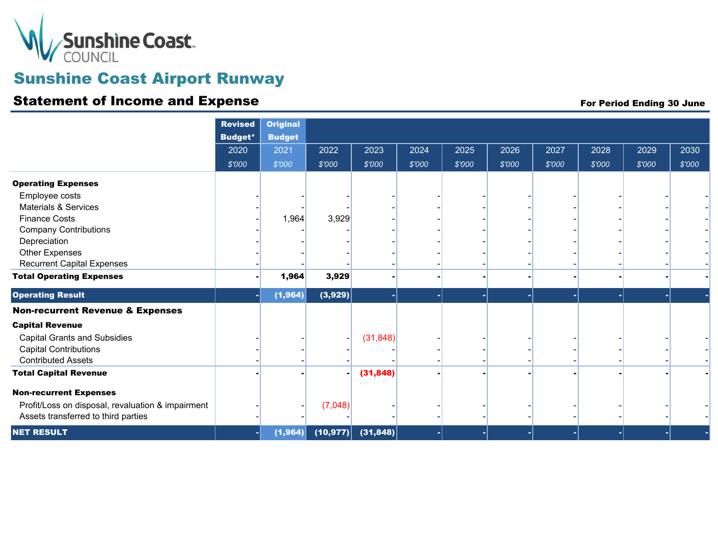

# Sunshine Coast Airport Runway

### Statement of Income and Expense For Period Ending 30 June

|                                                   | <b>Revised</b><br><b>Budget*</b> | <b>Original</b><br><b>Budget</b> |           |           |        |        |        |        |        |        |        |
|---------------------------------------------------|----------------------------------|----------------------------------|-----------|-----------|--------|--------|--------|--------|--------|--------|--------|
|                                                   | 2020                             | 2021                             | 2022      | 2023      | 2024   | 2025   | 2026   | 2027   | 2028   | 2029   | 2030   |
|                                                   | \$'000                           | \$'000                           | \$'000    | \$'000    | \$'000 | \$'000 | \$'000 | \$'000 | \$'000 | \$'000 | \$'000 |
| <b>Operating Expenses</b>                         |                                  |                                  |           |           |        |        |        |        |        |        |        |
| Employee costs                                    |                                  |                                  |           |           |        |        |        |        |        |        |        |
| <b>Materials &amp; Services</b>                   |                                  |                                  |           |           |        |        |        |        |        |        |        |
| <b>Finance Costs</b>                              |                                  | 1,964                            | 3,929     |           |        |        |        |        |        |        |        |
| <b>Company Contributions</b>                      |                                  |                                  |           |           |        |        |        |        |        |        |        |
| Depreciation                                      |                                  |                                  |           |           |        |        |        |        |        |        |        |
| Other Expenses                                    |                                  |                                  |           |           |        |        |        |        |        |        |        |
| <b>Recurrent Capital Expenses</b>                 |                                  |                                  |           |           |        |        |        |        |        |        |        |
| <b>Total Operating Expenses</b>                   |                                  | 1,964                            | 3,929     |           |        |        |        |        |        |        |        |
| <b>Operating Result</b>                           |                                  | (1, 964)                         | (3,929)   |           |        |        | ۰      |        |        |        |        |
| <b>Non-recurrent Revenue &amp; Expenses</b>       |                                  |                                  |           |           |        |        |        |        |        |        |        |
| <b>Capital Revenue</b>                            |                                  |                                  |           |           |        |        |        |        |        |        |        |
| <b>Capital Grants and Subsidies</b>               |                                  |                                  |           | (31, 848) |        |        |        |        |        |        |        |
| <b>Capital Contributions</b>                      |                                  |                                  |           |           |        |        |        |        |        |        |        |
| <b>Contributed Assets</b>                         |                                  |                                  |           |           |        |        |        |        |        |        |        |
| <b>Total Capital Revenue</b>                      |                                  |                                  |           | (31, 848) |        |        |        |        |        |        |        |
| <b>Non-recurrent Expenses</b>                     |                                  |                                  |           |           |        |        |        |        |        |        |        |
| Profit/Loss on disposal, revaluation & impairment |                                  |                                  | (7,048)   |           |        |        |        |        |        |        |        |
| Assets transferred to third parties               |                                  |                                  |           |           |        |        |        |        |        |        |        |
|                                                   |                                  |                                  |           |           |        |        |        |        |        |        |        |
| <b>NET RESULT</b>                                 |                                  | (1, 964)                         | (10, 977) | (31, 848) |        |        |        |        |        |        | ٠      |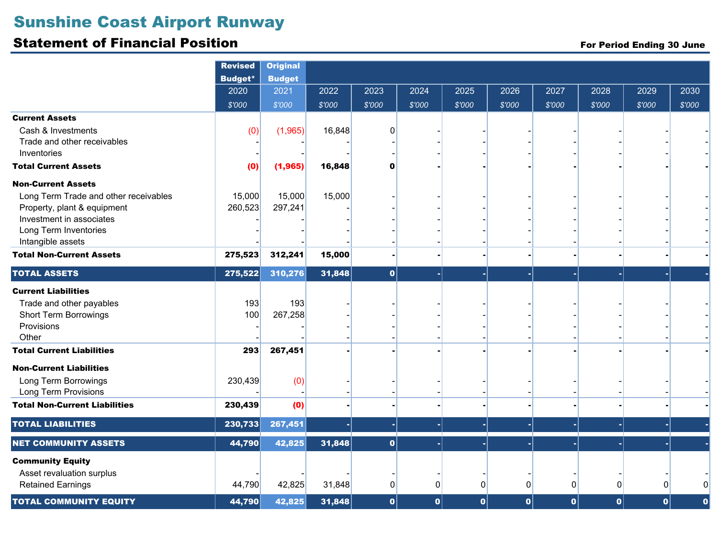# Sunshine Coast Airport Runway

#### Statement of Financial Position

For Period Ending 30 June

|                                                                                                                                                                             | <b>Revised</b><br><b>Budget*</b> | <b>Original</b><br><b>Budget</b> |        |          |        |        |        |        |        |        |             |
|-----------------------------------------------------------------------------------------------------------------------------------------------------------------------------|----------------------------------|----------------------------------|--------|----------|--------|--------|--------|--------|--------|--------|-------------|
|                                                                                                                                                                             | 2020                             | 2021                             | 2022   | 2023     | 2024   | 2025   | 2026   | 2027   | 2028   | 2029   | 2030        |
|                                                                                                                                                                             | \$'000                           | \$'000                           | \$'000 | \$'000   | \$'000 | \$'000 | \$'000 | \$'000 | \$'000 | \$'000 | \$'000      |
| <b>Current Assets</b><br>Cash & Investments<br>Trade and other receivables<br>Inventories                                                                                   | (0)                              | (1,965)                          | 16,848 | O        |        |        |        |        |        |        |             |
| <b>Total Current Assets</b>                                                                                                                                                 | (0)                              | (1,965)                          | 16,848 | 0        |        |        |        |        |        |        |             |
| <b>Non-Current Assets</b><br>Long Term Trade and other receivables<br>Property, plant & equipment<br>Investment in associates<br>Long Term Inventories<br>Intangible assets | 15,000<br>260,523                | 15,000<br>297,241                | 15,000 |          |        |        |        |        |        |        |             |
| <b>Total Non-Current Assets</b>                                                                                                                                             | 275,523                          | 312,241                          | 15,000 |          |        |        |        |        |        |        |             |
| <b>TOTAL ASSETS</b>                                                                                                                                                         | 275,522                          | 310,276                          | 31,848 | 0        |        |        |        |        |        |        |             |
| <b>Current Liabilities</b><br>Trade and other payables<br><b>Short Term Borrowings</b><br>Provisions<br>Other                                                               | 193<br>100                       | 193<br>267,258                   |        |          |        |        |        |        |        |        |             |
| <b>Total Current Liabilities</b>                                                                                                                                            | 293                              | 267,451                          |        |          |        |        |        |        |        |        |             |
| <b>Non-Current Liabilities</b><br>Long Term Borrowings<br><b>Long Term Provisions</b>                                                                                       | 230,439                          | (0)                              |        |          |        |        |        |        |        |        |             |
| <b>Total Non-Current Liabilities</b>                                                                                                                                        | 230,439                          | (0)                              |        |          |        |        |        |        |        |        |             |
| <b>TOTAL LIABILITIES</b>                                                                                                                                                    | 230,733                          | 267,451                          |        |          |        |        |        |        |        |        | ٠           |
| <b>NET COMMUNITY ASSETS</b>                                                                                                                                                 | 44,790                           | 42,825                           | 31,848 | 0        |        |        |        |        |        |        |             |
| <b>Community Equity</b><br>Asset revaluation surplus<br><b>Retained Earnings</b>                                                                                            | 44,790                           | 42,825                           | 31,848 | $\Omega$ | 0      | 0      | 0      | 0      | 0      | 0      | O           |
| <b>TOTAL COMMUNITY EQUITY</b>                                                                                                                                               | 44,790                           | 42,825                           | 31,848 | 0        | 0      | 0      | 0      | 0      | 0      | 0      | $\mathbf 0$ |